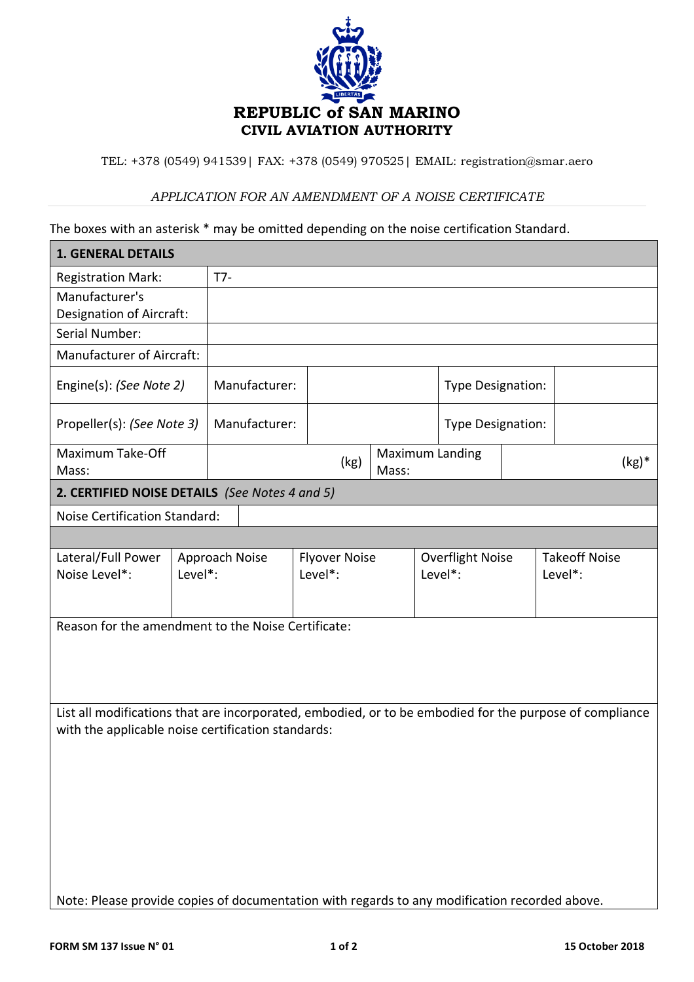

TEL: +378 (0549) 941539| FAX: +378 (0549) 970525| EMAIL: registration@smar.aero

## *APPLICATION FOR AN AMENDMENT OF A NOISE CERTIFICATE*

The boxes with an asterisk \* may be omitted depending on the noise certification Standard.

| <b>1. GENERAL DETAILS</b>                                                                               |                                                       |                                                                   |                                           |                         |  |                                   |                                        |
|---------------------------------------------------------------------------------------------------------|-------------------------------------------------------|-------------------------------------------------------------------|-------------------------------------------|-------------------------|--|-----------------------------------|----------------------------------------|
|                                                                                                         | $T7-$                                                 |                                                                   |                                           |                         |  |                                   |                                        |
|                                                                                                         |                                                       |                                                                   |                                           |                         |  |                                   |                                        |
|                                                                                                         |                                                       |                                                                   |                                           |                         |  |                                   |                                        |
|                                                                                                         |                                                       |                                                                   |                                           |                         |  |                                   |                                        |
|                                                                                                         |                                                       |                                                                   |                                           |                         |  |                                   |                                        |
| Engine(s): (See Note 2)                                                                                 |                                                       |                                                                   |                                           |                         |  |                                   |                                        |
| Propeller(s): (See Note 3)                                                                              |                                                       |                                                                   |                                           |                         |  |                                   |                                        |
|                                                                                                         |                                                       | (kg)                                                              | Mass:                                     |                         |  |                                   | $(kg)^*$                               |
| 2. CERTIFIED NOISE DETAILS (See Notes 4 and 5)                                                          |                                                       |                                                                   |                                           |                         |  |                                   |                                        |
|                                                                                                         |                                                       |                                                                   |                                           |                         |  |                                   |                                        |
|                                                                                                         |                                                       |                                                                   |                                           |                         |  |                                   |                                        |
|                                                                                                         |                                                       | <b>Flyover Noise</b>                                              |                                           | <b>Overflight Noise</b> |  | <b>Takeoff Noise</b>              |                                        |
| Noise Level*:                                                                                           |                                                       |                                                                   |                                           |                         |  |                                   | Level*:                                |
|                                                                                                         |                                                       |                                                                   |                                           |                         |  |                                   |                                        |
| Reason for the amendment to the Noise Certificate:                                                      |                                                       |                                                                   |                                           |                         |  |                                   |                                        |
| List all modifications that are incorporated, embodied, or to be embodied for the purpose of compliance |                                                       |                                                                   |                                           |                         |  |                                   |                                        |
| with the applicable noise certification standards:                                                      |                                                       |                                                                   |                                           |                         |  |                                   |                                        |
|                                                                                                         |                                                       |                                                                   |                                           |                         |  |                                   |                                        |
|                                                                                                         |                                                       |                                                                   |                                           |                         |  |                                   |                                        |
|                                                                                                         |                                                       |                                                                   |                                           |                         |  |                                   |                                        |
|                                                                                                         |                                                       |                                                                   |                                           |                         |  |                                   |                                        |
|                                                                                                         |                                                       |                                                                   |                                           |                         |  |                                   |                                        |
|                                                                                                         |                                                       |                                                                   |                                           |                         |  |                                   |                                        |
|                                                                                                         | Designation of Aircraft:<br>Manufacturer of Aircraft: | <b>Noise Certification Standard:</b><br>Approach Noise<br>Level*: | Manufacturer:<br>Manufacturer:<br>Level*: |                         |  | <b>Maximum Landing</b><br>Level*: | Type Designation:<br>Type Designation: |

Note: Please provide copies of documentation with regards to any modification recorded above.